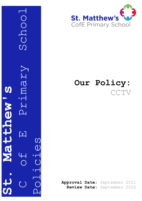C Grimary School Schoo VIMBIY S **St. Matthew's** wentter  $\Delta_{\perp}$ 口 Policies



# **Our Policy: CCTV**

**Approval Date:** September 2021 **Review Date:** September 2022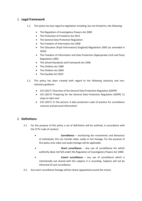## 1. **Legal framework**

- 1.1. This policy has due regard to legislation including, but not limited to, the following:
	- The Regulation of Investigatory Powers Act 2000
	- The Protection of Freedoms Act 2012
	- The General Data Protection Regulation
	- The Freedom of Information Act 2000
	- The Education (Pupil Information) (England) Regulations 2005 (as amended in 2016)
	- The Freedom of Information and Data Protection (Appropriate Limit and Fees) Regulations 2004
	- The School Standards and Framework Act 1998
	- The Children Act 1989
	- The Children Act 2004
	- The Equality Act 2010
- 1.2. This policy has been created with regard to the following statutory and nonstatutory guidance:
	- ICO (2017) 'Overview of the General Data Protection Regulation (GDPR)'
	- ICO (2017) 'Preparing for the General Data Protection Regulation (GDPR) 12 steps to take now'
	- ICO (2017) 'In the picture: A data protection code of practice for surveillance cameras and personal information'

## 2. **Definitions**

- 2.1. For the purpose of this policy a set of definitions will be outlined, in accordance with the CCTV code of conduct:
	- **Surveillance** monitoring the movements and behaviour of individuals; this can include video, audio or live footage. For the purpose of this policy only video and audio footage will be applicable.
	- **Overt surveillance** any use of surveillance for which authority does not fall under the Regulation of Investigatory Powers Act 2000.
	- **Covert surveillance** any use of surveillance which is intentionally not shared with the subjects it is recording. Subjects will not be informed of such surveillance.
- 2.2. Any overt surveillance footage will be clearly signposted around the school.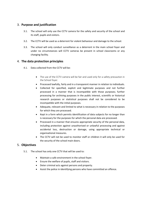## 3. **Purpose and justification**

- 3.1. The school will only use the CCTV camera for the safety and security of the school and its staff, pupils and visitors.
- 3.2. The CCTV will be used as a deterrent for violent behaviour and damage to the school.
- 3.3. The school will only conduct surveillance as a deterrent in the main school foyer and under no circumstances will CCTV cameras be present in school classrooms or any changing facility.

## 4. **The data protection principles**

- 4.1. Data collected from the CCTV will be:
	- The use of the CCTV camera will be fair and used only for a safety precaution in the School foyer.
	- Processed lawfully, fairly and in a transparent manner in relation to individuals.
	- Collected for specified, explicit and legitimate purposes and not further processed in a manner that is incompatible with those purposes; further processing for archiving purposes in the public interest, scientific or historical research purposes or statistical purposes shall not be considered to be incompatible with the initial purposes.
	- Adequate, relevant and limited to what is necessary in relation to the purposes for which they are processed.
	- Kept in a form which permits identification of data subjects for no longer than is necessary for the purposes for which the personal data are processed.
	- Processed in a manner that ensures appropriate security of the personal data, including protection against unauthorised or unlawful processing and against accidental loss, destruction or damage, using appropriate technical or organisational measures.
	- The CCTV will not be used to monitor staff or children it will only be used for the security of the school main doors.

## 5. **Objectives**

- 5.1. The school has only one CCTV that will be used to:
	- Maintain a safe environment in the school foyer.
	- Ensure the welfare of pupils, staff and visitors.
	- Deter criminal acts against persons and property.
	- Assist the police in identifying persons who have committed an offence.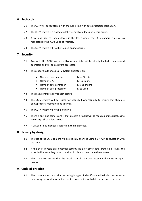#### 6. **Protocols**

- 6.1. The CCTV will be registered with the ICO in line with data protection legislation.
- 6.2. The CCTV system is a closed digital system which does not record audio.
- 6.3. A warning sign has been placed in the foyer where the CCTV camera is active, as mandated by the ICO's Code of Practice.
- 6.4. The CCTV system will not be trained on individuals.

#### 7. **Security**

- 7.1. Access to the CCTV system, software and data will be strictly limited to authorised operators and will be password protected.
- 7.2. The school's authorised CCTV system operators are:

|  | Name of Headteacher | Miss Ritchie. |
|--|---------------------|---------------|
|--|---------------------|---------------|

- Name of DPO Mr Sermon.
- Name of data controller Mrs Saunders.
- Name of data processor Miss Spain.
- 7.3. The main control facility is kept secure.
- 7.4. The CCTV system will be tested for security flaws regularly to ensure that they are being properly maintained at all times.
- 7.5. The CCTV system will not be intrusive.
- 7.6. There is only one camera and if that present a fault it will be repaired immediately as to avoid any risk of a data breach.
- 7.7. A visual display monitor is located in the main office.

#### 8. **Privacy by design**

- 8.1. The use of the CCTV camera will be critically analysed using a DPIA, in consultation with the DPO.
- 8.2. If the DPIA reveals any potential security risks or other data protection issues, the school will ensure they have provisions in place to overcome these issues.
- 8.3. The school will ensure that the installation of the CCTV systems will always justify its means.

#### 9. **Code of practice**

9.1. The school understands that recording images of identifiable individuals constitutes as processing personal information, so it is done in line with data protection principles.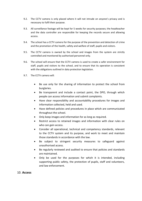- 9.2. The CCTV camera is only placed where it will not intrude on anyone's privacy and is necessary to fulfil their purpose.
- 9.3. All surveillance footage will be kept for 5 weeks for security purposes; the headteacher and the data controller are responsible for keeping the records secure and allowing access.
- 9.4. The school has a CCTV camera for the purpose of the prevention and detection of crime and the promotion of the health, safety and welfare of staff, pupils and visitors.
- 9.5. The CCTV camera is owned by the school and images from the system are strictly controlled and monitored by authorised personnel only.
- 9.6. The school will ensure that the CCTV camera is used to create a safer environment for staff, pupils and visitors to the school, and to ensure that its operation is consistent with the obligations outlined in data protection legislation.
- 9.7. The CCTV camera will:
	- Be use only for the sharing of information to protect the school from burglaries.
	- Be transparent and include a contact point, the DPO, through which people can access information and submit complaints.
	- Have clear responsibility and accountability procedures for images and information collected, held and used.
	- Have defined policies and procedures in place which are communicated throughout the school.
	- Only keep images and information for as long as required.
	- Restrict access to retained images and information with clear rules on who can gain access.
	- Consider all operational, technical and competency standards, relevant to the CCTV system and its purpose, and work to meet and maintain those standards in accordance with the law.
	- Be subject to stringent security measures to safeguard against unauthorised access.
	- Be regularly reviewed and audited to ensure that policies and standards are maintained.
	- Only be used for the purposes for which it is intended, including supporting public safety, the protection of pupils, staff and volunteers, and law enforcement.

#### 10. **Access**